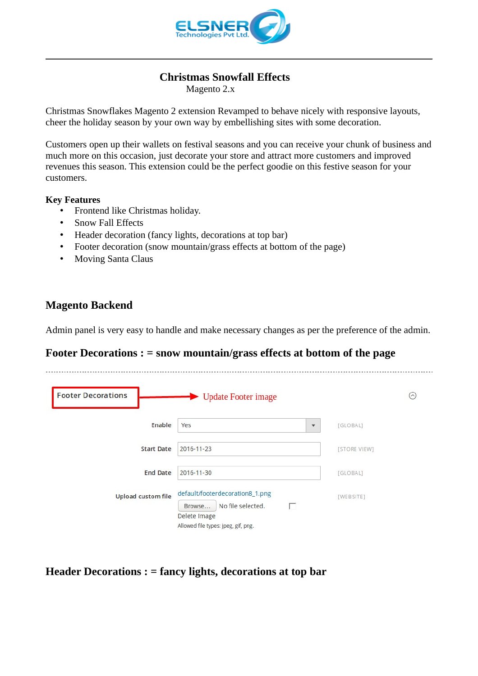

### **Christmas Snowfall Effects**

Magento 2.x

Christmas Snowflakes Magento 2 extension Revamped to behave nicely with responsive layouts, cheer the holiday season by your own way by embellishing sites with some decoration.

Customers open up their wallets on festival seasons and you can receive your chunk of business and much more on this occasion, just decorate your store and attract more customers and improved revenues this season. This extension could be the perfect goodie on this festive season for your customers.

#### **Key Features**

- Frontend like Christmas holiday.
- Snow Fall Effects
- Header decoration (fancy lights, decorations at top bar)
- Footer decoration (snow mountain/grass effects at bottom of the page)
- Moving Santa Claus

#### **Magento Backend**

Admin panel is very easy to handle and make necessary changes as per the preference of the admin.

## **Footer Decorations : = snow mountain/grass effects at bottom of the page**

| <b>Footer Decorations</b> | Dpdate Footer image                                                                                                        | $(\sim)$     |
|---------------------------|----------------------------------------------------------------------------------------------------------------------------|--------------|
| Enable                    | Yes<br>$\overline{\phantom{a}}$                                                                                            | [GLOBAL]     |
| <b>Start Date</b>         | 2016-11-23                                                                                                                 | [STORE VIEW] |
| <b>End Date</b>           | 2016-11-30                                                                                                                 | [GLOBAL]     |
| <b>Upload custom file</b> | default/footerdecoration8_1.png<br>No file selected.<br>г<br>Browse<br>Delete Image<br>Allowed file types: jpeg, gif, png. | [WEBSITE]    |

**Header Decorations : = fancy lights, decorations at top bar**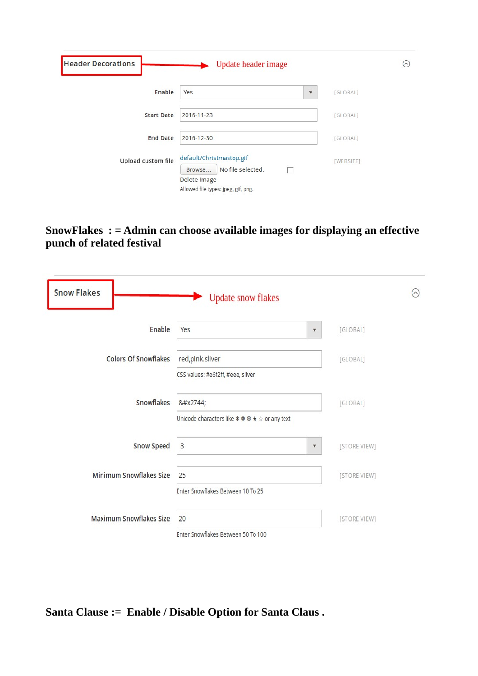| <b>Header Decorations</b> | Update header image                                                                                                 | $^{(\sim)}$ |
|---------------------------|---------------------------------------------------------------------------------------------------------------------|-------------|
| Enable                    | Yes<br>۳                                                                                                            | [GLOBAL]    |
| <b>Start Date</b>         | 2016-11-23                                                                                                          | [GLOBAL]    |
| <b>End Date</b>           | 2016-12-30                                                                                                          | [GLOBAL]    |
| Upload custom file        | default/Christmastop.gif<br>п<br>No file selected.<br>Browse<br>Delete Image<br>Allowed file types: jpeg, gif, png. | [WEBSITE]   |

# **SnowFlakes : = Admin can choose available images for displaying an effective punch of related festival**

| <b>Snow Flakes</b>             | <b>Update snow flakes</b>                            | $\odot$      |  |
|--------------------------------|------------------------------------------------------|--------------|--|
| Enable                         | Yes<br>$\blacktriangledown$                          | [GLOBAL]     |  |
| <b>Colors Of Snowflakes</b>    | red,pink.sliver<br>CSS values: #e6f2ff, #eee, silver | [GLOBAL]     |  |
| Snowflakes                     | ❄<br>Unicode characters like * * * + * or any text   | [GLOBAL]     |  |
| <b>Snow Speed</b>              | 3<br>$\boldsymbol{\mathrm{v}}$                       | [STORE VIEW] |  |
| <b>Minimum Snowflakes Size</b> | 25<br>Enter Snowflakes Between 10 To 25              | [STORE VIEW] |  |
| <b>Maximum Snowflakes Size</b> | 20<br>Enter Snowflakes Between 50 To 100             | [STORE VIEW] |  |

**Santa Clause := Enable / Disable Option for Santa Claus .**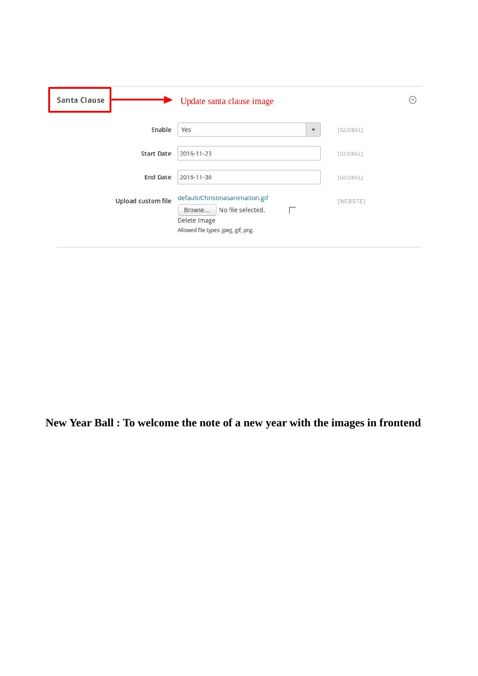| <b>Santa Clause</b>       | Update santa clause image                                                                                                 | $(\sim)$  |
|---------------------------|---------------------------------------------------------------------------------------------------------------------------|-----------|
| Enable                    | Yes<br>۳                                                                                                                  | [GLOBAL]  |
| <b>Start Date</b>         | 2016-11-23                                                                                                                | [GLOBAL]  |
| <b>End Date</b>           | 2016-11-30                                                                                                                | [GLOBAL]  |
| <b>Upload custom file</b> | default/Christmasanimation.gif<br>No file selected.<br>Browse<br>U<br>Delete Image<br>Allowed file types: jpeg, gif, png. | [WEBSITE] |

**New Year Ball : To welcome the note of a new year with the images in frontend**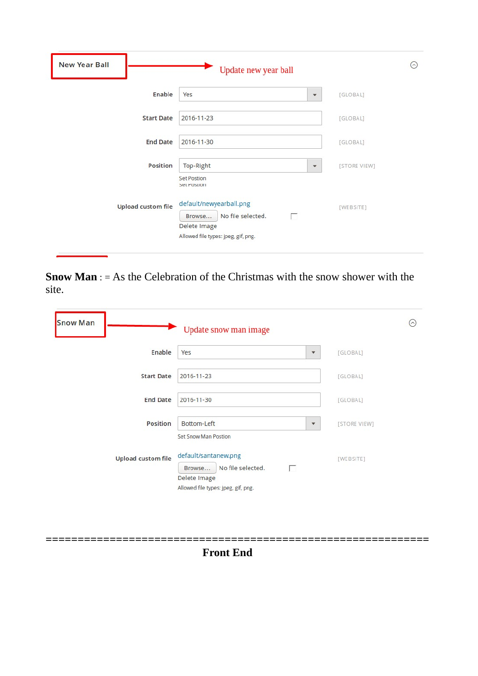| <b>New Year Ball</b>      | Update new year ball                                                                                               | $\odot$      |
|---------------------------|--------------------------------------------------------------------------------------------------------------------|--------------|
| Enable                    | Yes<br>$\overline{\mathbf{v}}$                                                                                     | [GLOBAL]     |
| <b>Start Date</b>         | 2016-11-23                                                                                                         | [GLOBAL]     |
| <b>End Date</b>           | 2016-11-30                                                                                                         | [GLOBAL]     |
| <b>Position</b>           | Top-Right<br>$\blacktriangledown$<br><b>Set Postion</b><br><b>SEL POSUOII</b>                                      | [STORE VIEW] |
| <b>Upload custom file</b> | default/newyearball.png<br>No file selected.<br>г<br>Browse<br>Delete Image<br>Allowed file types: jpeg, gif, png. | [WEBSITE]    |

**Snow Man** : = As the Celebration of the Christmas with the snow shower with the site.

| <b>Snow Man</b>           | Update snow man image                                                                                           | $(\sim)$     |
|---------------------------|-----------------------------------------------------------------------------------------------------------------|--------------|
| Enable                    | Yes<br>$\blacktriangledown$                                                                                     | [GLOBAL]     |
| <b>Start Date</b>         | 2016-11-23                                                                                                      | [GLOBAL]     |
| <b>End Date</b>           | 2016-11-30                                                                                                      | [GLOBAL]     |
| <b>Position</b>           | Bottom-Left<br>$\overline{\mathbf{v}}$<br>Set Snow Man Postion                                                  | [STORE VIEW] |
| <b>Upload custom file</b> | default/santanew.png<br>No file selected.<br>г<br>Browse<br>Delete Image<br>Allowed file types: jpeg, gif, png. | [WEBSITE]    |

**Front End**

**============================================================**